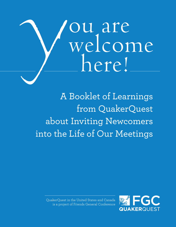# **Title** ou are<br>welcome here!

A Booklet of Learnings from QuakerQuest about Inviting Newcomers into the Life of Our Meetings

QuakerQuest in the United States and Canada is a project of Friends General Conference

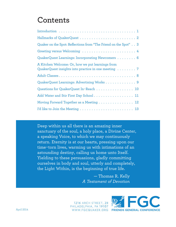### **Contents**

| Quaker on the Spot: Reflections from "The Friend on the Spot" 3                                         |
|---------------------------------------------------------------------------------------------------------|
|                                                                                                         |
| QuakerQuest Learnings: Incorporating Newcomers 6                                                        |
| A Kitchen Welcome: Or, how we put learnings from<br>QuakerQuest insights into practice in one meeting 7 |
|                                                                                                         |
| QuakerQuest Learnings: Advertising Works 9                                                              |
| Questions for QuakerQuest In-Reach 10                                                                   |
| Add Water and Stir First Day School 11                                                                  |
| Moving Forward Together as a Meeting 12                                                                 |
|                                                                                                         |

Deep within us all there is an amazing inner sanctuary of the soul, a holy place, a Divine Center, a speaking Voice, to which we may continuously return. Eternity is at our hearts, pressing upon our time-torn lives, warming us with intimations of an astounding destiny, calling us home unto Itself. Yielding to these persuasions, gladly committing ourselves in body and soul, utterly and completely, the Light Within, is the beginning of true life.

> — Thomas R. Kelly *A Testament of Devotion*

1216 ARCH STREET, 2B PHILADELPHIA, PA 19107 WWW.FGCQUAKER.ORG

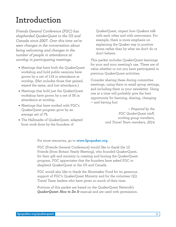### <span id="page-2-0"></span>**Introduction**

*Friends General Conference (FGC) has shepherded QuakerQuest in the US and Canada since 2007. Over this time we've seen changes in the conversation about being welcoming and changes in the number of people in attendance at worship in participating meetings.*

- Meetings that have both the QuakerQuest workshop and hold public sessions have grown by a net of 11% in attendance at worship. (Net includes those that gained, stayed the same, and lost attendance.)
- Meetings that hold just the QuakerQuest workshop have grown by a net of 5% in attendance at worship.
- Meetings that have worked with FGC's QuakerQuest program grow by an average net of 7%.
- The Hallmarks of QuakerQuest, adapted from work done by the founders of

QuakerQuest, impact how Quakers talk with each other and with newcomers. For example, there is more emphasis on explaining the Quaker way in positive terms rather than by what we don't do or don't believe.

This packet includes QuakerQuest learnings for your and your meeting's use. These are of value whether or not you have participated in previous QuakerQuest activities.

Consider sharing these during committee meetings, using them in small group settings, and including them in your newsletter. Using one at a time will probably give the best opportunity for learning, sharing, changing — and having fun!

> *— Prepared by the FGC QuakerQuest staff, working group members, and Travel Team members, 2014*

For more resources, go to **www.fgcquaker.org**.

FGC (Friends General Conference) would like to thank the 12 Friends (from Britain Yearly Meeting), who founded QuakerQuest, for their gift and ministry in creating and honing the QuakerQuest program. FGC appreciates that the founders have asked FGC to shepherd QuakerQuest in the US and Canada.

FGC would also like to thank the Shoemaker Fund for its generous support of FGC's QuakerQuest Ministry and for the volunteer QQ Travel Team leaders who have given so much of their time.

Portions of this packet are based on the QuakerQuest Network's *QuakerQuest: How to Do It* manual and are used with permission.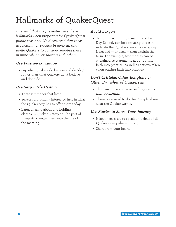# <span id="page-3-0"></span>**Hallmarks of QuakerQuest**

*It is vital that the presenters use these hallmarks when preparing for QuakerQuest public sessions. We discovered that these are helpful for Friends in general, and invite Quakers to consider keeping these in mind whenever sharing with others.*

#### *Use Positive Language*

• Say what Quakers do believe and do "do," rather than what Quakers don't believe and don't do.

#### *Use Very Little History*

- There is time for that later.
- Seekers are usually interested first in what the Quaker way has to offer them today.
- Later, sharing about and holding classes in Quaker history will be part of integrating newcomers into the life of the meeting.

#### *Avoid Jargon*

• Jargon, like monthly meeting and First Day School, can be confusing and can indicate that Quakers are a closed group. If needed — or used — then explain the term. For example, testimonies can be explained as statements about putting faith into practice, as well as actions taken when putting faith into practice.

#### *Don't Criticize Other Religions or Other Branches of Quakerism*

- This can come across as self-righteous and judgmental.
- There is no need to do this. Simply share what the Quaker way is.

#### *Use Stories to Share Your Journey*

- It isn't necessary to speak on behalf of all Quakers everywhere, throughout time.
- Share from your heart.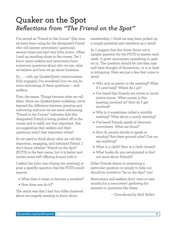### <span id="page-4-0"></span>**Quaker on the Spot** *Reflections from "The Friend on the Spot"*

I've served as "Friend in the Corner" (the term we have been using for the designated Friend who will answer newcomers' questions) several times and had very little *action*. Often I end up standing alone in the corner. Yet I know many seekers and newcomers have numerous questions about who we are, what we believe and how we go about business.

So . . . with my QuakerQuest consciousness fully engaged, I've wondered how we can be more welcoming of these questions — and seekers.

First, the name. Things become what we call them. Since our QuakerQuest workshop, we've learned the difference between *greeting* and *welcoming* and now we are more welcoming. "Friend in the Corner" indicates that this designated Friend is being pushed off in the corner and is really not that important. Are we suggesting that seekers and their questions aren't that important either?

So we need to think about what we call this important, engaging, and informed Friend. I don't know whether "Friend on the Spot" (FOTS) is the best name, but it is better and carries some self-effacing humor with it.

I asked Joe (who was closing the meeting) to pose a specific question that the FOTS would answer:

- What does it mean to become a member?
- How does one do it?"

The result was that I had four folks clustered about me eagerly wanting to know about

membership. I think we may have picked up a couple potential new members as a result.

So I suggest that the closer throw out a sample question for the FOTS to answer each week. It gives newcomers something to grab on to. The question should be one they may well have thought of themselves, or is at least is intriguing. Here are just a few that come to mind:

- Who acts as pastor in the meeting? What if I need help? Where do I go?
- I've heard that Friends are active in social justice issues. What causes is this meeting involved in? How do I get involved?
- Why is it sometimes called a *monthly* meeting? What about a *yearly* meeting?
- I've heard Friends speak of *clearness committees*. What are those?
- How do people decide to speak in worship? Are there *ground rules*? Can we say anything?
- What is a clerk? How is a clerk chosen?
- What books do you recommend to find out more about Friends?

Other Friends drawn to answering a particular question or simply to help out should be invited to "be on the Spot" too!

Newcomers and seekers don't want to wait months for a *newcomers' gathering* for answers to questions like these.

*— Contributed by Rick Seifert*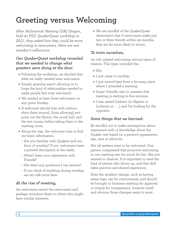### <span id="page-5-0"></span>**Greeting versus Welcoming**

*After Multnomah Meeting (OR) Oregon, held its FGC QuakerQuest workshop in 2011, they asked how they could be more welcoming to newcomers. Here are one member's reflections:*

#### *Our QuakerQuest workshop revealed that we needed to change what greeters were doing at the door.*

- Following the workshop, we decided that what we really needed were welcomers.
- Simply greeting wasn't allowing us to forge the kind of relationships needed to make people feel truly welcomed.
- We needed at least three welcomers on any given Sunday.
- A welcomer should stay with visitors, show them around, (time allowing) and point out the library, the social hall, and the rest rooms, before taking them to the meeting room.
- Along the way, the welcomer tries to find out basic information.
	- ❍ Are you familiar with Quakers and our form of worship? If not, welcomers have a printed description at the ready.
	- ❍ What's been your experience with Friends?
	- ❍ Are there any questions I can answer?
	- ❍ If you think of anything during worship, we can talk more later.

#### *At the rise of meeting,*

the welcomers revisit the newcomers and perhaps introduce them to others who might have similar interests.

• We are mindful of the QuakerQuest observation that if newcomers make just two or three friends within six months, they are far more likely to return.

#### *To train ourselves,*

we role-played welcoming various types of visitors. The types included the:

- Shy.
- I just came to worship.
- I just moved here from a far away place where I attended a meeting.
- Super-friendly who is unaware that meeting is starting in five minutes.
- I was raised Catholic (or Baptist or Lutheran or . . .) and I'm looking for the opposite.

#### *Some things that we learned:*

Be mindful not to make assumptions about experience with or knowledge about the Quaker way based on a person's appearance, age, race or ethnicity.

Not all seekers want to be *welcomed*. One person complained that proactive welcoming in one meeting was too much for her. She just wanted to observe. It is important to *read* the kind of person who shows up, and that skill takes practice and shared experience.

Even the smallest change, such as having name tags, can be controversial, and should be brought to business meeting for approval or simply for transparency, however small and obvious those changes seem to most.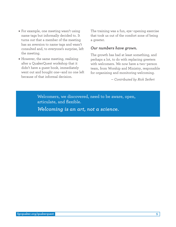- For example, one meeting wasn't using name tags but informally decided to. It turns out that a member of the meeting has an aversion to name tags and wasn't consulted and, to everyone's surprise, left the meeting.
- However, the same meeting, realizing after a QuakerQuest workshop that it didn't have a guest book, immediately went out and bought one—and no one left because of that informal decision.

The training was a fun, eye-opening exercise that took us out of the comfort zone of being a greeter.

#### *Our numbers have grown.*

The growth has had at least something, and perhaps a lot, to do with replacing greeters with welcomers. We now have a two-person team, from Worship and Ministry, responsible for organizing and monitoring welcoming.

*— Contributed by Rick Seifert*

Welcomers, we discovered, need to be aware, open, articulate, and flexible.

*Welcoming is an art, not a science.*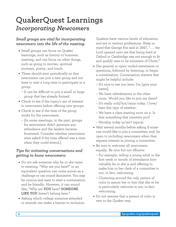### <span id="page-7-0"></span>**QuakerQuest Learnings** *Incorporating Newcomers*

#### *Small groups are vital for incorporating newcomers into the life of the meeting.*

- Small groups can focus on Quaker learnings, such as history or business meeting, and can focus on other things, such as going to movies, spiritual journeys, poetry, and lunch.
- These should start periodically so that newcomers can join a new group and not have to wait a long time to participate in a group.
	- ❍ It can be difficult to join a small or large group that has already formed.
- Check to see if the topic/s are of interest to newcomers before offering new groups.
- Check to see if the time of the group works for the newcomers.
	- ❍ (In some meetings, in the past, groups for newcomers didn't generate any attendance and the leaders became frustrated. Consider whether newcomers were asked if the time offered was a time when they could attend.)

#### *Tips for initiating conversations and getting to know newcomers:*

- Do not ask someone why he or she came to meeting. "Why are you here?" or an equivalent question can come across as a challenge or can sound dismissive. You may be curious and want to start a conversation and be friendly. However, it can sound like, "Why are **YOU** here? **SOMEONE LIKE YOU** doesn't belong here."
- Asking which college someone attended or attends can make a barrier to inclusion.

Quakers have various levels of education and are in various professions. Keep in mind that George Fox said in 1647, ". . . the Lord opened unto me that being bred at Oxford or Cambridge was not enough to fit and qualify men to be ministers of Christ."

- Use general or open-ended statements or questions, followed by listening, to begin a conversation. Conversation starters that might be helpful include:
	- ❍ It's nice to see you here. I'm [give your name].
	- ❍ We have refreshments in the other room. Would you like to join me there?
	- ❍ It's really cold/hot/rainy today. I love/ hate this type of weather.
	- ❍ We have a class starting soon on x. Is that something that interests you?
	- ❍ Worship today is/isn't typical.
- Wait several months before asking if someone would like to join a committee; and, be open to including newcomers when they express interest in joining a committee.
- Be sure to welcome all newcomers equally. Be nice but not effusive.
	- ❍ For example, telling a young adult in the first week or month of attendance how valuable he or she is and offering to make him or her clerk of a committee is not, in fact, welcoming.
	- ❍ Clustering around the only person of color to assure her or him that she or he is particularly welcome is not, in fact, welcoming.
- Do not assume that a person of color is new to the Quaker way.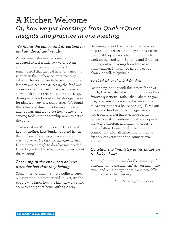### <span id="page-8-0"></span>**A Kitchen Welcome** *Or, how we put learnings from QuakerQuest insights into practice in one meeting*

#### *We found the coffee and directions for making decaf and regular*

A newcomer who seemed quiet, and who appeared to feel a little awkward, began attending our meeting regularly. I remembered that the real heart of a meeting is often in the kitchen. So after meeting I asked if she would like to have a tour of the kitchen and see how we set up the food and clean up after the meal. She was interested, so we took a look around, at the sink, soap, drying rack. We looked at the storage places for plates, silverware, and glasses. We found the coffee and directions for making decaf and regular, and found out how to move the serving table into the worship room to act as the buffet.

That was about 2 months ago. This friend kept attending. Last Sunday, I found her in the kitchen, elbow deep in soapy water, washing away. No one had asked—she just felt at home enough to do what was needed. How do you think she had come to feel about the meeting?

#### *Becoming in the know can help an attender feel that they belong*

Sometimes we think it's more polite to serve our visitors and newer attenders. Yet, it's the people who know how the kitchen works who seem to be right at home with Quakers.

Becoming one of the group in the know can help an attender feel that they belong rather than that they are a visitor. It might be to work on the yard with Building and Grounds, or hang out with young friends to assist the main teacher. It might be helping set up chairs, or collect hymnals.

#### *I asked what she did for fun*

By the way, sitting with this newer friend at lunch, I asked what she did for fun (one of my favorite questions—rather than where do you live, or where do you work, because some folks have neither a house nor job). Turns out this friend has been in a collage class, and had a photo of her latest collage on her phone. She also mentioned that she hopes to move to a different apartment in order to have a kitten. Immediately, there were connections with all those around us, and friendly conversations and connections ensued.

#### *Consider the "ministry of introduction to the kitchen"*

You might want to consider the "ministry of introduction to the kitchen," as you find many small and simple ways to welcome new folks into the life of the meeting.

*— Contributed by Gita Larson*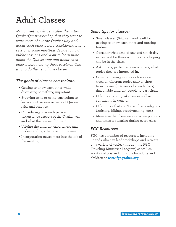# <span id="page-9-0"></span>**Adult Classes**

*Many meetings discern after the initial QuakerQuest workshop that they want to learn more about the Quaker way and about each other before considering public sessions. Some meetings decide to hold public sessions and want to learn more about the Quaker way and about each other before holding those sessions. One way to do this is to have classes.*

#### *The goals of classes can include:*

- Getting to know each other while discussing something important.
- Studying texts or using curriculum to learn about various aspects of Quaker faith and practice.
- Considering how each person understands aspects of the Quaker way and what that means for them.
- Valuing the different experiences and understandings that exist in the meeting.
- Incorporating newcomers into the life of the meeting.

#### *Some tips for classes:*

- Small classes (6-8) can work well for getting to know each other and rotating leadership.
- Consider what time of day and which day works best for those whom you are hoping will be in the class.
- Ask others, particularly newcomers, what topics they are interested in.
- Consider having multiple classes each week on different topics and/or short term classes (2–4 weeks for each class) that enable different people to participate.
- Offer topics on Quakerism as well as spirituality in general.
- Offer topics that aren't specifically religious (knitting, hiking, bread-making, etc.)
- Make sure that there are interactive portions and times for sharing during every class.

#### *FGC Resources*

FGC has a number of resources, including Friends who can lead workshops and retreats on a variety of topics (through the FGC Traveling Ministries Program) as well as additional tips and curricula for adults and children at **www.fgcquaker.org**.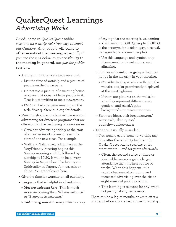### <span id="page-10-0"></span>**QuakerQuest Learnings** *Advertising Works*

*People come to QuakerQuest public sessions as a fairly risk-free way to check out Quakers. And, people* **will come to other events at the meeting***, especially if you use the tips below to give* **visibility to the meeting in general***, not just for public sessions.* 

- A vibrant, inviting website is essential.
	- ❍ List the time of worship and a picture of people on the home page.
	- ❍ Do not use a picture of a meeting house or space that does not have people in it. That is not inviting to most newcomers.
	- ❍ FGC can help get your meeting on the web. Visit quakercloud.org for details.
- Meetings should consider a regular round of advertising for different programs that are offered or for the beginning of a new series.
	- ❍ Consider advertising widely at the start of a new series of classes or even the start of one new class. For example:
	- ❍ Walk and Talk, a new adult class at the VeryFriendly Meeting begins this Sunday morning at 9:00, followed by worship at 10:30. It will be held every Sunday in September. The first topic: Spirituality in Nature. Join us, rain or shine. You are welcome here.
- Give the time for worship on all publicity.
- Language that is helpful in advertising:
	- ❍ *You are welcome here*. This is much more welcoming than "All are welcome" or "Everyone is welcome."
	- ❍ *Welcoming and Affirming*. This is a way

of saying that the meeting is welcoming and affirming to LGBTQ people. (LGBTQ is the acronym for lesbian, gay, bisexual, transgender, and queer people.)

- ❑ Use this language and symbol only if your meeting is welcoming and affirming.
- ❍ Find ways to **welcome groups** that may not be in the majority in your meeting.
	- ❑ Consider having a rainbow flag on the website and/or prominently displayed at the meetinghouse.
	- ❑ If there are pictures on the walls, be sure they represent different ages, genders, and racial/ethnic backgrounds, or create new ones.
- ❍ For more ideas, visit fgcquaker.org/ services/quaker-quest/ publicity-quaker-quest
- Patience is usually rewarded.
	- ❍ Newcomers could come to worship any time after the publicity begins — for QuakerQuest public sessions or for other events — and for years afterwards.
		- ❑ Often, the second series of three or four public sessions gets a larger attendance than the first couple of weeks. When this happens, it is usually because of on-going and increased advertising over the six or eight weeks of public sessions.
		- ❑ This learning is relevant for any event, not just QuakerQuest events.

There can be a lag of months or years after a program before anyone new comes to worship.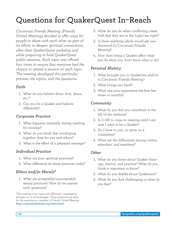# <span id="page-11-0"></span>**Questions for QuakerQuest In-Reach**

*Cincinnati Friends Meeting (Friends United Meeting) decided to offer ways for people to share with each other as part of its efforts to deepen spiritual connections, after their QuakerQuest workshop and while preparing to hold QuakerQuest public sessions. Each topic was offered four times to ensure that everyone had the chance to attend a session on each topic. The meeting developed this particular process, the topics, and the questions.* 

#### *Faith*

- 1. What do you believe about God, Jesus, etc.?
- 2. Can you be a Quaker and believe differently?

#### *Corporate Practice*

- 1. What happens internally during meeting for worship?
- 2. What do you think that worshiping together does for you and others?
- 3. What is the effect of a prepared message?

#### *Individual Practice*

- 1. What are your spiritual practices?
- 2. What difference do those practices make?

#### *Ethics and/or Morals\**

1. What are acceptable/unacceptable sexual practices? How do we answer such questions?

\*The meeting is an "open and affirming" congregation and says so on its homepage. These questions are alive for the meeting as a member of Friends United Meeting. **http://cincinnatifriends.org/index.html**

- 2. What do you do when conflicting views both feel they are in the Light/are right?
- 3. Is there anything which would get one disowned by Cincinnati Friends Meeting?
- 4. How does being a Quaker affect what you do when you don't know what to do?

#### *Personal History*

- 1. What brought you to Quakerism and/or to Cincinnati Friends Meeting?
- 2. What brings you back?
- 3. What was your experience the first few times or months?

#### *Community*

- 1. What do you feel you contribute to the life of the meeting?
- 2. Is it OK to come to meeting until I am sure I want to be a Quaker?
- 3. Do I have to join, or serve on a committee?
- 4. What are the differences among visitor, attenders, and members?

#### *Other*

- 1. What do you know about Quaker theology, history, and practice? What do you think is important to know?
- 2. What do you dislike about Quakerism?
- 3. What do you find challenging or what do you fear?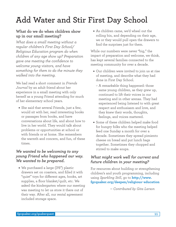# <span id="page-12-0"></span>**Add Water and Stir First Day School**

#### **What do we do when children show up in our small meeting?**

*What does a small meeting without a regular children's First Day School/ Religious Education program do when children of any age show up? Preparation gave one meeting the confidence to welcome young visitors, and have something for them to do the minute they walked into the meeting.*

We had read a short comment in *Friends Journal* by an adult friend about her experience in a small meeting with only herself as a young Friend attending for much of her elementary school years.

• She said that several Friends, just a few, would sit with her, read interesting books or passages from books, and have conversations about life, and about how to live in her world. They would talk about problems or opportunities at school or with friends or at home. She remembers the warmth and concern, and fun, of these times.

#### *We wanted to be welcoming to any young Friend who happened our way. We wanted to be prepared.*

• We purchased a large (3'6") plastic drawers set on coasters, and filled it with "quiet" toys for different ages, books, art supplies, a floor blanket/quilt, etc. We asked the kindergarten where our meeting was meeting to let us store it there out of their way. After all, our rental agreement included storage space.

• As children came, we'd wheel out the rolling bin, and depending on their age, we or they would pull open the drawers to find the surprises just for them.

While our numbers were never "big," the impact of preparation and welcome, we think, has kept several families connected to the meeting community for over a decade.

- Our children were invited to join us at rise of meeting, and describe what they had done in First Day School.
	- ❍ A remarkable thing happened: those same young children, as they grew up, continued to lift their voices in our meeting and in other arenas. They had experienced being listened to with great respect and enthusiasm and love, and they knew their words, thoughts, feelings, and voices mattered.
- Some of these children helped make food for hungry folks who the meeting helped feed one Sunday a month for over a decade. Sometimes they spread pimiento cheese on bread and put lunch bags together. Sometimes they chopped and stirred to make soups.

#### *What might work well for current and future children in your meeting?*

For resources about building or strengthening children's and youth programming, including using *Sparkling Still*, go to **[http://www.](http://www.fgcquaker.org/deepen/religious-education) [fgcquaker.org/deepen/religious-education](http://www.fgcquaker.org/deepen/religious-education)**

*— Contributed by Gita Larson*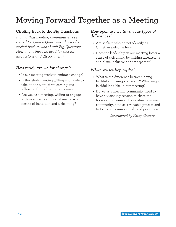## <span id="page-13-0"></span>**Moving Forward Together as a Meeting**

#### **Circling Back to the Big Questions**

*I found that meeting communities I've visited for QuakerQuest workshops often circled back to what I call Big Questions. How might these be used for fuel for discussions and discernment?*

#### *How ready are we for change?*

- Is our meeting ready to embrace change?
- Is the whole meeting willing and ready to take on the work of welcoming and following through with newcomers?
- Are we, as a meeting, willing to engage with new media and social media as a means of invitation and welcoming?

#### *How open are we to various types of differences?*

- Are seekers who do not identify as Christian welcome here?
- Does the leadership in our meeting foster a sense of welcoming by making discussions and plans inclusive and transparent?

#### *What are we hoping for?*

- What is the difference between being faithful and being successful? What might faithful look like in our meeting?
- Do we as a meeting community need to have a visioning session to share the hopes and dreams of those already in our community, both as a valuable process and to focus on common goals and priorities?

*— Contributed by Kathy Slattery*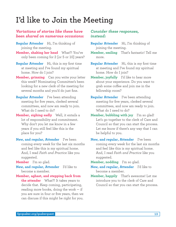### **I'd like to Join the Meeting**

#### *Variations of stories like these have been shared on numerous occasions:*

- **Regular Attender** Hi, I'm thinking of joining the meeting.
- **Member, shaking her head** What?! You've only been coming for 2 [or 5 or 10] years?
- **Regular Attender** Hi, this is my first time at meeting and I've found my spiritual home. How do I join?
- **Member, grinning** Can you write your letter this week? Nominating Committee's been looking for a new clerk of the meeting for several months and you'd do just fine.
- **Regular Attender** I've been attending meeting for five years, clerked several committees, and now am ready to join. What do I need to do?
- Member, sighing sadly Well, it entails a lot of responsibility and commitment. Why don't you let me know in a few years if you still feel like this is the place for you?
- **New, and regular, Attender** I've been coming every week for the last six months and feel like this is my spiritual home. And, I read *Faith and Practice* like you suggested.

**Member** I'm so glad.

- **New, and regular, Attender** I'd like to become a member.
- **Member, aghast, and stepping back from the attender** What?! It takes years to decide that. Keep coming, participating, reading more books, doing the work  $-$  if you are sure in four or five years, then we can discuss if this might be right for you.

#### *Consider these responses, instead:*

- **Regular Attender** Hi, I'm thinking of joining the meeting.
- **Member, smiling** That's fantastic! Tell me more.
- **Regular Attender** Hi, this is my first time at meeting and I've found my spiritual home. How do I join?
- **Member, joyfully** I'd like to hear more about your experience. Do you want to grab some coffee and join me in the fellowship room?
- **Regular Attender** I've been attending meeting for five years, clerked several committees, and now am ready to join. What do I need to do?
- **Member, bubbling with joy** I'm so glad! Let's go together to the clerk of Care and Council so that you can start the process. Let me know if there's any way that I can be helpful to you.
- **New, and regular, Attender** I've been coming every week for the last six months and feel like this is my spiritual home. And, I read *Faith and Practice* like you suggested.

**Member, nodding** I'm so glad.

- **New, and regular, Attender** I'd like to become a member.
- **Member, happily** That's awesome! Let me introduce you to the clerk of Care and Council so that you can start the process.